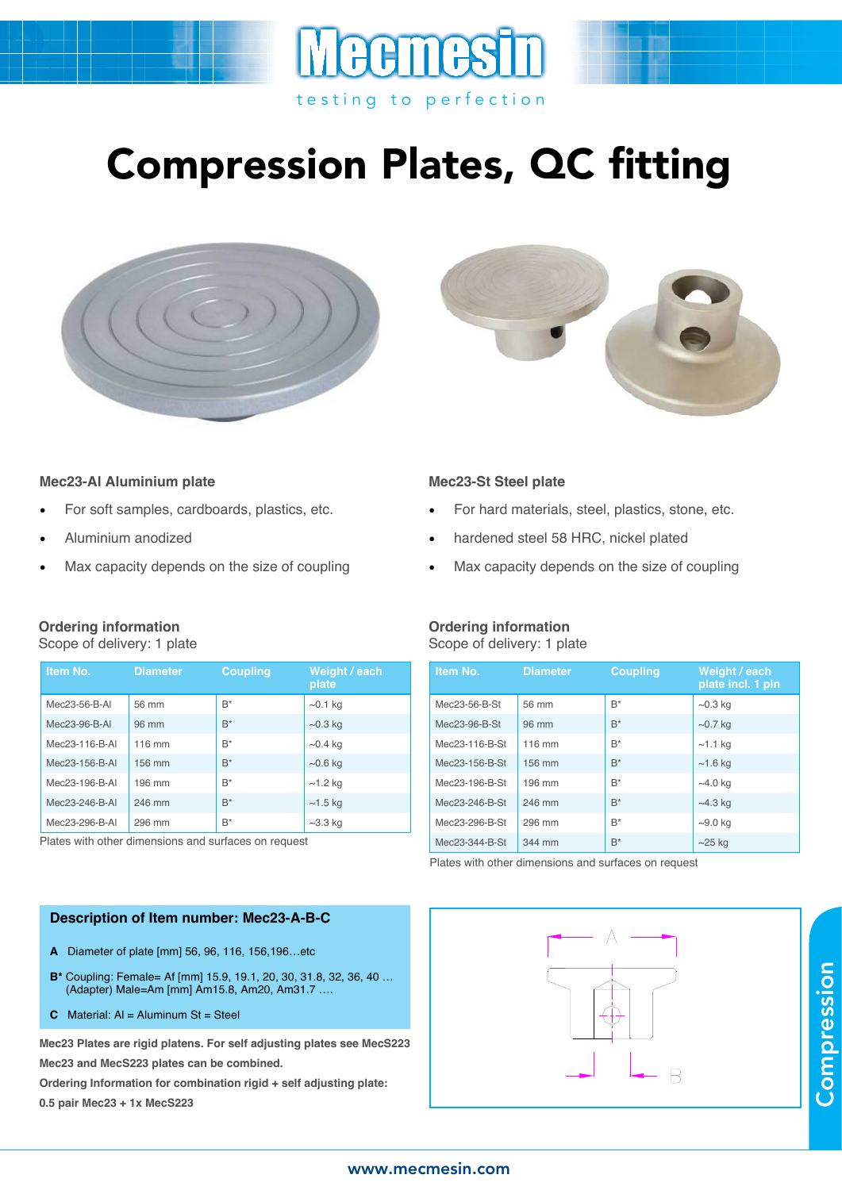

# Compression Plates, QC fitting





#### **Mec23-Al Aluminium plate**

- For soft samples, cardboards, plastics, etc.
- Aluminium anodized
- Max capacity depends on the size of coupling

### **Ordering information**

Scope of delivery: 1 plate

| Item No.       | <b>Diameter</b> | <b>Coupling</b> | Weight / each<br>plate |
|----------------|-----------------|-----------------|------------------------|
| Mec23-56-B-AI  | 56 mm           | $B^*$           | $\sim$ 0.1 kg          |
| Mec23-96-B-AI  | 96 mm           | $B^*$           | $\sim$ 0.3 kg          |
| Mec23-116-B-AI | 116 mm          | $B^*$           | $\sim$ 0.4 kg          |
| Mec23-156-B-AI | 156 mm          | $B^*$           | $\sim$ 0.6 kg          |
| Mec23-196-B-AI | 196 mm          | $B^*$           | $~1.2$ kg              |
| Mec23-246-B-AI | 246 mm          | $B^*$           | $~1.5$ kg              |
| Mec23-296-B-AI | 296 mm          | $B^*$           | $\sim$ 3.3 kg          |

Plates with other dimensions and surfaces on request

#### **Description of Item number: Mec23-A-B-C**

- **A** Diameter of plate [mm] 56, 96, 116, 156,196…etc
- **B\*** Coupling: Female= Af [mm] 15.9, 19.1, 20, 30, 31.8, 32, 36, 40 … (Adapter) Male=Am [mm] Am15.8, Am20, Am31.7 ….
- **C** Material: Al = Aluminum St = Steel

**Mec23 Plates are rigid platens. For self adjusting plates see MecS223 Mec23 and MecS223 plates can be combined.**

**Ordering Information for combination rigid + self adjusting plate: 0.5 pair Mec23 + 1x MecS223**

#### **Mec23-St Steel plate**

- For hard materials, steel, plastics, stone, etc.
- hardened steel 58 HRC, nickel plated
- Max capacity depends on the size of coupling

#### **Ordering information** Scope of delivery: 1 plate

| Item No.       | <b>Diameter</b> | <b>Coupling</b> | Weight / each<br>plate incl. 1 pin |
|----------------|-----------------|-----------------|------------------------------------|
| Mec23-56-B-St  | 56 mm           | $B^*$           | $\sim$ 0.3 kg                      |
| Mec23-96-B-St  | 96 mm           | $B^*$           | $\sim$ 0.7 kg                      |
| Mec23-116-B-St | 116 mm          | $B^*$           | $~1.1$ kg                          |
| Mec23-156-B-St | 156 mm          | $B^*$           | $~1.6$ kg                          |
| Mec23-196-B-St | 196 mm          | $B^*$           | $~10$ kg                           |
| Mec23-246-B-St | 246 mm          | $B^*$           | $~14.3$ kg                         |
| Mec23-296-B-St | 296 mm          | $B^*$           | $\sim$ 9.0 kg                      |
| Mec23-344-B-St | 344 mm          | $B^*$           | $\sim$ 25 kg                       |

Plates with other dimensions and surfaces on request